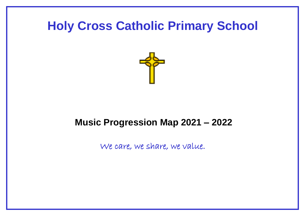## **Holy Cross Catholic Primary School**



## **Music Progression Map 2021 – 2022**

We care, we share, we value.

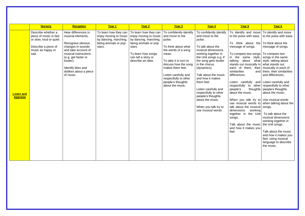|                               | <b>Nursery</b>                                                                                                              | <b>Reception</b>                                                                                                                                                                                                                  | Year 1                                                                                                      | Year 2                                                                                                                                                                      | Year 3                                                                                                                                                                                                                                                                     | Year 4                                                                                                                                                                                                                                                                                                                                                                                                     | Year 5                                                                                                                                                                                                                                                                                                                                                                                                                                                                                                                                                                                                                                                                                                            | Year 6                                                                                                                                                                                                                                                                                                                                                                                                                    |
|-------------------------------|-----------------------------------------------------------------------------------------------------------------------------|-----------------------------------------------------------------------------------------------------------------------------------------------------------------------------------------------------------------------------------|-------------------------------------------------------------------------------------------------------------|-----------------------------------------------------------------------------------------------------------------------------------------------------------------------------|----------------------------------------------------------------------------------------------------------------------------------------------------------------------------------------------------------------------------------------------------------------------------|------------------------------------------------------------------------------------------------------------------------------------------------------------------------------------------------------------------------------------------------------------------------------------------------------------------------------------------------------------------------------------------------------------|-------------------------------------------------------------------------------------------------------------------------------------------------------------------------------------------------------------------------------------------------------------------------------------------------------------------------------------------------------------------------------------------------------------------------------------------------------------------------------------------------------------------------------------------------------------------------------------------------------------------------------------------------------------------------------------------------------------------|---------------------------------------------------------------------------------------------------------------------------------------------------------------------------------------------------------------------------------------------------------------------------------------------------------------------------------------------------------------------------------------------------------------------------|
| Listen and<br><b>Appraise</b> | Describe whether a<br>piece of music is fast<br>or slow, loud or quiet.<br>Describe a piece of<br>music as happy or<br>sad. | Hear differences in<br>musical elements.<br>Recognise obvious<br>changes in sounds<br>and take account of<br>musical instructions<br>(e.g. get faster or<br>louder).<br>Identify likes and<br>dislikes about a piece<br>of music. | To learn how they can<br>enjoy moving to music  <br>by dancing, marching,<br>being animals or pop<br>stars. | To learn how they can<br>enjoy moving to music<br>by dancing, marching,<br>being animals or pop<br>stars.<br>To learn how songs<br>can tell a story or<br>describe an idea. | To confidently identify<br>and move to the<br>pulse.<br>To think about what<br>the words of a song<br>mean.<br>To take it in turn to<br>discuss how the song<br>makes them feel.<br>Listen carefully and<br>respectfully to other<br>people's thoughts<br>about the music. | To confidently identify<br>and move to the<br>pulse.<br>To talk about the<br>musical dimensions<br>working together in<br>the Unit songs e.g. if<br>the song gets louder<br>in the chorus<br>(dynamics).<br>Talk about the music<br>and how it makes<br>them feel.<br>Listen carefully and<br>respectfully to other<br>people's thoughts<br>about the music.<br>When you talk try to<br>use musical words. | To identify and move To identify and move<br>to the pulse with ease.   to the pulse with ease.<br>To think about the $\sqrt{ }$ To think about the<br>message of songs.<br>To compare two songs   To compare two<br>in the same style,<br>talking<br>stands out musically in what stands out<br>each of them, their   musically in each of<br>similarities<br>differences.<br>Listen carefully and Listen carefully and<br>respectfully to other respectfully to other<br>people's<br>thoughts<br>about the music.<br>When you talk try to Use musical words<br>talk about the musical songs.<br>dimensions<br>working<br>together in the Unit<br>songs.<br>Talk about the music<br>and how it makes you<br>feel. | message of songs.<br>songs in the same<br>about what style, talking about<br>and   them, their similarities<br>and differences.<br>people's thoughts<br>about the music.<br>use musical words to when talking about the<br>To talk about the<br>musical dimensions<br>working together in<br>the Unit songs.<br>Talk about the music<br>and how it makes you<br>feel, using musical<br>language to describe<br>the music. |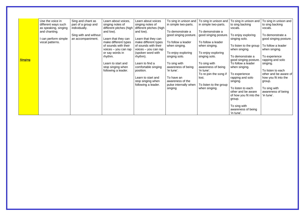|                | Use the voice in<br>different ways such<br>as speaking, singing<br>and chanting. | Sing and chant as<br>part of a group and<br>individually. | Learn about voices,<br>singing notes of<br>different pitches (high<br>and low). | Learn about voices<br>singing notes of<br>different pitches (high<br>and low). | To sing in unison and<br>in simple two-parts.<br>To demonstrate a | To sing in unison and<br>in simple two-parts.<br>To demonstrate a | To sing in unison and<br>to sing backing<br>vocals.                          | To sing in unison and<br>to sing backing<br>vocals.     |
|----------------|----------------------------------------------------------------------------------|-----------------------------------------------------------|---------------------------------------------------------------------------------|--------------------------------------------------------------------------------|-------------------------------------------------------------------|-------------------------------------------------------------------|------------------------------------------------------------------------------|---------------------------------------------------------|
|                | I can perform simple<br>vocal patterns.                                          | Sing with and without<br>an accompaniment.                | Learn that they can<br>make different types                                     | Learn that they can<br>make different types                                    | good singing posture.<br>To follow a leader                       | good singing posture.<br>To follow a leader                       | To enjoy exploring<br>singing solo.                                          | To demonstrate a<br>good singing posture.               |
|                |                                                                                  |                                                           | of sounds with their<br>voices - you can rap<br>or say words in                 | of sounds with their<br>voices - you can rap<br>(spoken word with              | when singing.<br>To enjoy exploring                               | when singing.<br>To enjoy exploring                               | To listen to the group<br>when singing.                                      | To follow a leader<br>when singing.                     |
| <b>Singing</b> |                                                                                  |                                                           | rhythm.<br>Learn to start and                                                   | rhythm).<br>Learn to find a                                                    | singing solo.<br>To sing with                                     | singing solo.<br>To sing with                                     | To demonstrate a<br>good singing posture.<br>To follow a leader              | To experience<br>rapping and solo<br>singing.           |
|                |                                                                                  |                                                           | stop singing when<br>following a leader.                                        | comfortable singing<br>position.                                               | awareness of being<br>'in tune'.                                  | awareness of being<br>'in tune'.                                  | when singing.                                                                | To listen to each                                       |
|                |                                                                                  |                                                           |                                                                                 | Learn to start and<br>stop singing when                                        | To have an<br>awareness of the                                    | To re-join the song if<br>lost.                                   | To experience<br>rapping and solo<br>singing.                                | other and be aware of<br>how you fit into the<br>group. |
|                |                                                                                  |                                                           |                                                                                 | following a leader.                                                            | pulse internally when<br>singing                                  | To listen to the group<br>when singing.                           | To listen to each<br>other and be aware<br>of how you fit into the<br>group. | To sing with<br>awareness of being<br>'in tune'.        |
|                |                                                                                  |                                                           |                                                                                 |                                                                                |                                                                   |                                                                   | To sing with<br>awareness of being<br>'in tune'.                             |                                                         |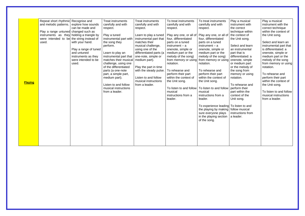| <b>Playing</b> | Repeat short rhythmic Recognise and<br>and melodic patterns.<br>Play a range untuned changed such as<br>instruments as they holding a triangle by<br>were intended to be the string instead of<br>used. | explore how sounds<br>can be made and<br>with your hand.<br>Play a range of tuned<br>and untuned<br>instruments as they<br>were intended to be<br>used. | <b>Treat instruments</b><br>carefully and with<br>respect.<br>Play a tuned<br>instrumental part with<br>the song they<br>perform.<br>Learn to play an<br>instrumental part that<br>matches their musical<br>challenge, using one<br>of the differentiated<br>parts (a one-note<br>part, a simple part,<br>medium part).<br>Listen to and follow<br>musical instructions<br>from a leader. | <b>Treat instruments</b><br>carefully and with<br>respect.<br>Learn to play a tuned<br>instrumental part that<br>matches their<br>musical challenge,<br>using one of the<br>differentiated parts (a<br>one-note, simple or<br>medium part).<br>Play the part in time<br>with the steady pulse.<br>Listen to and follow<br>musical instructions<br>from a leader. | To treat instruments<br>carefully and with<br>respect.<br>Play any one, or all of<br>four, differentiated<br>parts on a tuned<br>$instrument - a$<br>onenote, simple or<br>medium part or the<br>melody of the song)<br>from memory or using<br>notation.<br>To rehearse and<br>perform their part<br>within the context of<br>the Unit song.<br>To listen to and follow<br>musical<br>instructions from a<br>leader. | To treat instruments<br>carefully and with<br>respect.<br>Play any one, or all of<br>four, differentiated<br>parts on a tuned<br>$instrument - a$<br>onenote, simple or<br>medium part or the<br>melody of the song)<br>from memory or using<br>notation.<br>To rehearse and<br>perform their part<br>within the context of<br>the Unit song.<br>To listen to and follow<br>musical<br>instructions from a<br>leader.<br>To experience leading<br>the playing by making<br>sure everyone plays<br>in the playing section<br>of the song. |
|----------------|---------------------------------------------------------------------------------------------------------------------------------------------------------------------------------------------------------|---------------------------------------------------------------------------------------------------------------------------------------------------------|-------------------------------------------------------------------------------------------------------------------------------------------------------------------------------------------------------------------------------------------------------------------------------------------------------------------------------------------------------------------------------------------|------------------------------------------------------------------------------------------------------------------------------------------------------------------------------------------------------------------------------------------------------------------------------------------------------------------------------------------------------------------|-----------------------------------------------------------------------------------------------------------------------------------------------------------------------------------------------------------------------------------------------------------------------------------------------------------------------------------------------------------------------------------------------------------------------|------------------------------------------------------------------------------------------------------------------------------------------------------------------------------------------------------------------------------------------------------------------------------------------------------------------------------------------------------------------------------------------------------------------------------------------------------------------------------------------------------------------------------------------|
|                |                                                                                                                                                                                                         |                                                                                                                                                         |                                                                                                                                                                                                                                                                                                                                                                                           |                                                                                                                                                                                                                                                                                                                                                                  |                                                                                                                                                                                                                                                                                                                                                                                                                       |                                                                                                                                                                                                                                                                                                                                                                                                                                                                                                                                          |

Play a musical instrument with the correct technique within the context of the Unit song.

> To rehearse and perform their part within the context of the Unit song.

Select and learn an instrumental part that is differentiated: a onenote, simple or medium part or the melody of the song from memory or using notation.

To rehearse and perform their part within the context of the Unit song.

To listen to and follow musical instructions from a leader.

Play a musical instrument with the correct technique within the context of the Unit song.

Select and learn an instrumental part that is differentiated: a onenote, simple or medium part or the melody of the song from memory or using notation.

To listen to and follow musical instructions from a leader.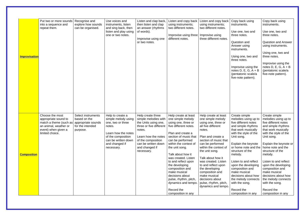| <u>Improvisation</u> | Put two or more sounds<br>into a sequence and<br>repeat them.                                                                        | Recognise and<br>explore how sounds<br>can be organised.                                 | Use voices and<br>instruments, listen<br>and sing back, then<br>listen and play using<br>one or two notes.                                                                 | Listen and clap back,<br>then listen and clap<br>an answer (rhythms<br>of words).<br>Improvise using one<br>or two notes.                                                                                  | Listen and copy back<br>using instruments;<br>two different notes.<br>Improvise using three<br>different notes.                                                                                                                                                                                                                                                                                                                       | Listen and copy back<br>using instruments;<br>two different notes.<br>Improvise using<br>three different notes.                                                                                                                                                                                                                                                                                          | Copy back using<br>instruments.<br>Use one, two and<br>three notes.<br>Question and<br>Answer using<br>instruments.<br>Using one, two and<br>three notes.<br>Improvise using the<br>notes $D, E, G, A + B$<br>(pentatonic scale/a<br>five-note pattern).                                                                                                                                                               | Copy back using<br>instruments.<br>Use one, two and<br>three notes.<br><b>Question and Answer</b><br>using instruments.<br>Using one, two and<br>three notes.<br>Improvise using the<br>notes $D, E, G, A + B$<br>(pentatonic scale/a<br>five-note pattern).                                                                                                                                                           |
|----------------------|--------------------------------------------------------------------------------------------------------------------------------------|------------------------------------------------------------------------------------------|----------------------------------------------------------------------------------------------------------------------------------------------------------------------------|------------------------------------------------------------------------------------------------------------------------------------------------------------------------------------------------------------|---------------------------------------------------------------------------------------------------------------------------------------------------------------------------------------------------------------------------------------------------------------------------------------------------------------------------------------------------------------------------------------------------------------------------------------|----------------------------------------------------------------------------------------------------------------------------------------------------------------------------------------------------------------------------------------------------------------------------------------------------------------------------------------------------------------------------------------------------------|------------------------------------------------------------------------------------------------------------------------------------------------------------------------------------------------------------------------------------------------------------------------------------------------------------------------------------------------------------------------------------------------------------------------|------------------------------------------------------------------------------------------------------------------------------------------------------------------------------------------------------------------------------------------------------------------------------------------------------------------------------------------------------------------------------------------------------------------------|
| <b>Composition</b>   | Choose the most<br>appropriate sound to<br>match a theme (such as<br>an animal, weather or<br>event) when given a<br>limited choice. | Select instruments<br>based on the<br>appropriate sounds<br>for the intended<br>purpose. | Help to create a<br>simple melody using<br>one, two or three<br>notes.<br>Learn how the notes<br>of the composition<br>can be written down<br>and changed if<br>necessary. | Help create three<br>simple melodies with<br>the Units using one,<br>three or five different<br>notes.<br>Learn how the notes<br>of the composition<br>can be written down<br>and changed if<br>necessary. | Help create at least<br>one simple melody<br>using one, three or<br>five different notes.<br>Plan and create a<br>section of music that<br>can be performed<br>within the context of<br>the unit song.<br>Talk about how it<br>was created. Listen<br>to and reflect upon<br>the developing<br>composition and<br>make musical<br>decisions about<br>pulse, rhythm, pitch,<br>dynamics and tempo.<br>Record the<br>composition in any | Help create at least<br>one simple melody<br>using one, three or<br>all five different<br>notes.<br>Plan and create a<br>section of music that<br>can be performed<br>within the context of<br>the unit song.<br>Talk about how it<br>was created. Listen<br>to and reflect upon<br>the developing<br>composition and<br>make musical<br>decisions about<br>pulse, rhythm, pitch,<br>dynamics and tempo. | Create simple<br>melodies using up to<br>five different notes<br>and simple rhythms<br>that work musically<br>with the style of the<br>Unit song.<br>Explain the keynote<br>or home note and the<br>structure of the<br>melody.<br>Listen to and reflect<br>upon the developing<br>composition and<br>make musical<br>decisions about how<br>the melody connects<br>with the song.<br>Record the<br>composition in any | Create simple<br>melodies using up to<br>five different notes<br>and simple rhythms<br>that work musically<br>with the style of the<br>Unit song.<br>Explain the keynote or<br>home note and the<br>structure of the<br>melody.<br>Listen to and reflect<br>upon the developing<br>composition and<br>make musical<br>decisions about how<br>the melody connects<br>with the song.<br>Record the<br>composition in any |